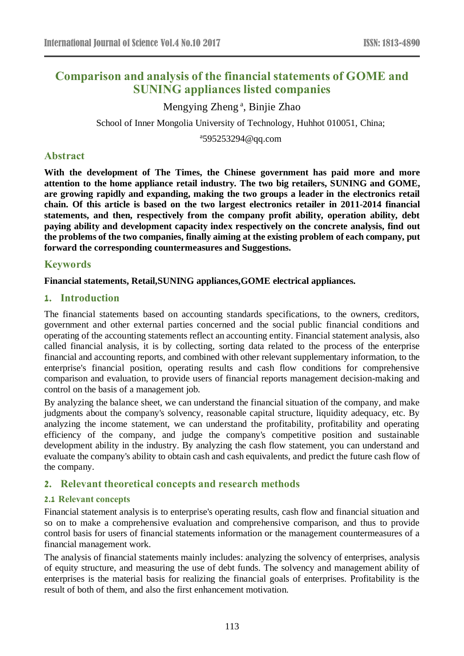# **Comparison and analysis of the financial statements of GOME and SUNING appliances listed companies**

Mengying Zheng<sup>a</sup>, Binjie Zhao School of Inner Mongolia University of Technology, Huhhot 010051, China;

a 595253294@qq.com

# **Abstract**

**With the development of The Times, the Chinese government has paid more and more attention to the home appliance retail industry. The two big retailers, SUNING and GOME, are growing rapidly and expanding, making the two groups a leader in the electronics retail chain. Of this article is based on the two largest electronics retailer in 2011-2014 financial statements, and then, respectively from the company profit ability, operation ability, debt paying ability and development capacity index respectively on the concrete analysis, find out the problems of the two companies, finally aiming at the existing problem of each company, put forward the corresponding countermeasures and Suggestions.**

# **Keywords**

#### **Financial statements, Retail,SUNING appliances,GOME electrical appliances.**

#### **1. Introduction**

The financial statements based on accounting standards specifications, to the owners, creditors, government and other external parties concerned and the social public financial conditions and operating of the accounting statements reflect an accounting entity. Financial statement analysis, also called financial analysis, it is by collecting, sorting data related to the process of the enterprise financial and accounting reports, and combined with other relevant supplementary information, to the enterprise's financial position, operating results and cash flow conditions for comprehensive comparison and evaluation, to provide users of financial reports management decision-making and control on the basis of a management job.

By analyzing the balance sheet, we can understand the financial situation of the company, and make judgments about the company's solvency, reasonable capital structure, liquidity adequacy, etc. By analyzing the income statement, we can understand the profitability, profitability and operating efficiency of the company, and judge the company's competitive position and sustainable development ability in the industry. By analyzing the cash flow statement, you can understand and evaluate the company's ability to obtain cash and cash equivalents, and predict the future cash flow of the company.

# **2. Relevant theoretical concepts and research methods**

#### **2.1 Relevant concepts**

Financial statement analysis is to enterprise's operating results, cash flow and financial situation and so on to make a comprehensive evaluation and comprehensive comparison, and thus to provide control basis for users of financial statements information or the management countermeasures of a financial management work.

The analysis of financial statements mainly includes: analyzing the solvency of enterprises, analysis of equity structure, and measuring the use of debt funds. The solvency and management ability of enterprises is the material basis for realizing the financial goals of enterprises. Profitability is the result of both of them, and also the first enhancement motivation.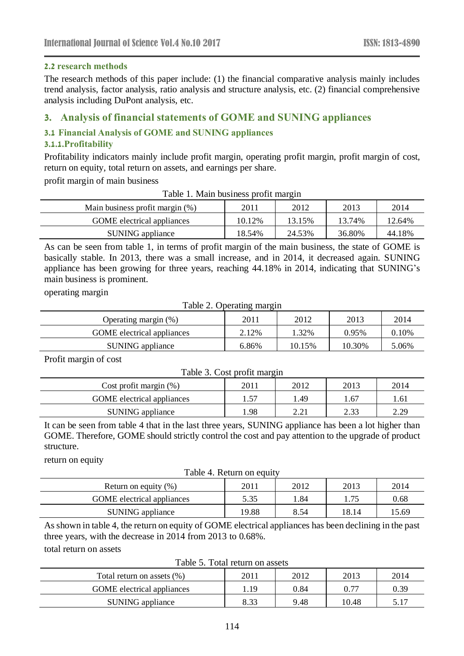#### **2.2 research methods**

The research methods of this paper include: (1) the financial comparative analysis mainly includes trend analysis, factor analysis, ratio analysis and structure analysis, etc. (2) financial comprehensive analysis including DuPont analysis, etc.

# **3. Analysis of financial statements of GOME and SUNING appliances**

#### **3.1 Financial Analysis of GOME and SUNING appliances**

#### **3.1.1.Profitability**

Profitability indicators mainly include profit margin, operating profit margin, profit margin of cost, return on equity, total return on assets, and earnings per share.

profit margin of main business

| Table 1. Main business profit margin |  |  |
|--------------------------------------|--|--|
|                                      |  |  |

| Main business profit margin (%) | 2011   | 2012   | 2013   | 2014   |
|---------------------------------|--------|--------|--------|--------|
| GOME electrical appliances      | 10.12% | 13.15% | 13.74% | 12.64% |
| SUNING appliance                | 18.54% | 24.53% | 36.80% | 44.18% |

As can be seen from table 1, in terms of profit margin of the main business, the state of GOME is basically stable. In 2013, there was a small increase, and in 2014, it decreased again. SUNING appliance has been growing for three years, reaching 44.18% in 2014, indicating that SUNING's main business is prominent.

operating margin

Table 2. Operating margin

| Operating margin $(\%)$           | 2011  | 2012   | 2013   | 2014  |
|-----------------------------------|-------|--------|--------|-------|
| <b>GOME</b> electrical appliances | 2.12% | .32%   | 0.95%  | 0.10% |
| SUNING appliance                  | 6.86% | 10.15% | 10.30% | 5.06% |

Profit margin of cost

| Table 3. Cost profit margin       |      |      |      |      |  |
|-----------------------------------|------|------|------|------|--|
| Cost profit margin $(\%)$         | 2011 | 2012 | 2013 | 2014 |  |
| <b>GOME</b> electrical appliances | 1.57 | 1.49 | 1.67 | 1.61 |  |
| SUNING appliance                  | 1.98 | 2.21 | 2.33 | 2.29 |  |

It can be seen from table 4 that in the last three years, SUNING appliance has been a lot higher than GOME. Therefore, GOME should strictly control the cost and pay attention to the upgrade of product structure.

return on equity

Table 4. Return on equity

| Return on equity $(\%)$           | 2011  | 2012 | 2013  | 2014 |
|-----------------------------------|-------|------|-------|------|
| <b>GOME</b> electrical appliances | 5.35  | .84  | -75   | 0.68 |
| SUNING appliance                  | 19.88 | 8.54 | 18.14 | 5.69 |

As shown in table 4, the return on equity of GOME electrical appliances has been declining in the past three years, with the decrease in 2014 from 2013 to 0.68%.

total return on assets

Table 5. Total return on assets

| Total return on assets (%)        | 2011 | 2012 | 2013  | 2014 |
|-----------------------------------|------|------|-------|------|
| <b>GOME</b> electrical appliances | .19  | 0.84 | 0.77  | 0.39 |
| SUNING appliance                  | 8.33 | 9.48 | 10.48 | 5.17 |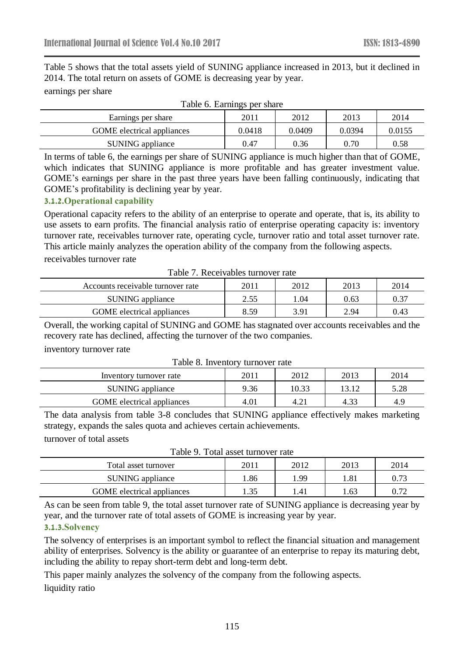Table 5 shows that the total assets yield of SUNING appliance increased in 2013, but it declined in 2014. The total return on assets of GOME is decreasing year by year. earnings per share

| $14010$ of $241111150$ pcl $311010$ |        |        |        |        |
|-------------------------------------|--------|--------|--------|--------|
| Earnings per share                  | 2011   | 2012   | 2013   | 2014   |
| <b>GOME</b> electrical appliances   | 0.0418 | 0.0409 | 0.0394 | 0.0155 |
| SUNING appliance                    | 0.47   | 0.36   | 0.70   | 0.58   |

#### Table 6. Earnings per share

In terms of table 6, the earnings per share of SUNING appliance is much higher than that of GOME, which indicates that SUNING appliance is more profitable and has greater investment value. GOME's earnings per share in the past three years have been falling continuously, indicating that GOME's profitability is declining year by year.

#### **3.1.2.Operational capability**

Operational capacity refers to the ability of an enterprise to operate and operate, that is, its ability to use assets to earn profits. The financial analysis ratio of enterprise operating capacity is: inventory turnover rate, receivables turnover rate, operating cycle, turnover ratio and total asset turnover rate. This article mainly analyzes the operation ability of the company from the following aspects. receivables turnover rate

| Table 7. Receivables turnover rate |  |
|------------------------------------|--|
|                                    |  |

| Accounts receivable turnover rate | 2011 | 2012 | 2013 | 2014 |
|-----------------------------------|------|------|------|------|
| SUNING appliance                  | 2.55 | .04  | 0.63 | 0.37 |
| <b>GOME</b> electrical appliances | 8.59 | 3.91 | 2.94 | 0.43 |

Overall, the working capital of SUNING and GOME has stagnated over accounts receivables and the recovery rate has declined, affecting the turnover of the two companies.

inventory turnover rate

| Tuble 0. Inventory turns for rule |      |       |       |      |
|-----------------------------------|------|-------|-------|------|
| Inventory turnover rate           | 2011 | 2012  | 2013  | 2014 |
| SUNING appliance                  | 9.36 | 10.33 | 13.12 | 5.28 |
| <b>GOME</b> electrical appliances | 4.01 | 4.21  | 4.33  | 4.9  |
|                                   |      |       |       |      |

Table 8. Inventory turnover rate

The data analysis from table 3-8 concludes that SUNING appliance effectively makes marketing strategy, expands the sales quota and achieves certain achievements.

turnover of total assets

| Tuois 71 Touri upper unillo 1 et ture |      |      |       |      |
|---------------------------------------|------|------|-------|------|
| Total asset turnover                  | 2011 | 2012 | 2013  | 2014 |
| SUNING appliance                      | .86  | 1.99 | l .81 | 0.73 |
| <b>GOME</b> electrical appliances     | 1.35 | .41  | .63   | 0.72 |
|                                       |      |      |       |      |

Table 9. Total asset turnover rate

As can be seen from table 9, the total asset turnover rate of SUNING appliance is decreasing year by year, and the turnover rate of total assets of GOME is increasing year by year.

#### **3.1.3.Solvency**

The solvency of enterprises is an important symbol to reflect the financial situation and management ability of enterprises. Solvency is the ability or guarantee of an enterprise to repay its maturing debt, including the ability to repay short-term debt and long-term debt.

This paper mainly analyzes the solvency of the company from the following aspects. liquidity ratio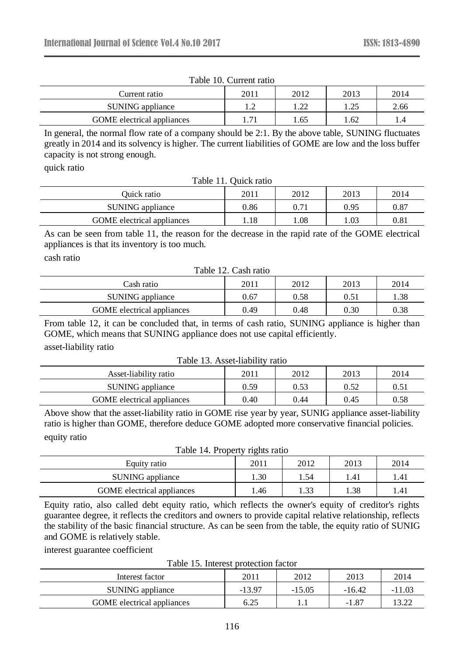| Current ratio                     | 2011            | 2012        | 2013 | 2014 |
|-----------------------------------|-----------------|-------------|------|------|
| SUNING appliance                  |                 | ാറ          | ົາ<  | 2.66 |
| <b>GOME</b> electrical appliances | $\mathbf{\tau}$ | $\cdot$ .65 | l.62 |      |

Table 10. Current ratio

In general, the normal flow rate of a company should be 2:1. By the above table, SUNING fluctuates greatly in 2014 and its solvency is higher. The current liabilities of GOME are low and the loss buffer capacity is not strong enough.

quick ratio

Table 11. Quick ratio

| Ouick ratio                       | 2011 | 2012 | 2013 | 2014 |
|-----------------------------------|------|------|------|------|
| SUNING appliance                  | 0.86 | 0.71 | 0.95 | 0.87 |
| <b>GOME</b> electrical appliances | .18  | .08  | .03  | 0.81 |

As can be seen from table 11, the reason for the decrease in the rapid rate of the GOME electrical appliances is that its inventory is too much.

cash ratio

Table 12. Cash ratio

| Cash ratio                        | 2011     | 2012 | 2013 | 2014 |
|-----------------------------------|----------|------|------|------|
| SUNING appliance                  | $0.67\,$ | 0.58 | 0.51 | l.38 |
| <b>GOME</b> electrical appliances | 0.49     | 0.48 | 0.30 | 0.38 |

From table 12, it can be concluded that, in terms of cash ratio, SUNING appliance is higher than GOME, which means that SUNING appliance does not use capital efficiently. asset-liability ratio

Table 13. Asset-liability ratio

| Asset-liability ratio             | 2011 | 2012 | 2013 | 2014 |
|-----------------------------------|------|------|------|------|
| SUNING appliance                  | 0.59 | 0.53 | 0.52 | 0.51 |
| <b>GOME</b> electrical appliances | 0.40 | 0.44 | 0.45 | 0.58 |
|                                   |      |      |      |      |

Above show that the asset-liability ratio in GOME rise year by year, SUNIG appliance asset-liability ratio is higher than GOME, therefore deduce GOME adopted more conservative financial policies. equity ratio

|                                   | ັ    |      |      |      |
|-----------------------------------|------|------|------|------|
| Equity ratio                      | 2011 | 2012 | 2013 | 2014 |
| SUNING appliance                  | .30  | .54  | 1.41 | .41  |
| <b>GOME</b> electrical appliances | .46  | .33  | 1.38 | . 41 |

Table 14. Property rights ratio

Equity ratio, also called debt equity ratio, which reflects the owner's equity of creditor's rights guarantee degree, it reflects the creditors and owners to provide capital relative relationship, reflects the stability of the basic financial structure. As can be seen from the table, the equity ratio of SUNIG and GOME is relatively stable.

interest guarantee coefficient

Table 15. Interest protection factor

| Interest factor                   | 2011     | 2012     | 2013     | 2014     |
|-----------------------------------|----------|----------|----------|----------|
| SUNING appliance                  | $-13.97$ | $-15.05$ | $-16.42$ | $-11.03$ |
| <b>GOME</b> electrical appliances | 6.25     |          | $-1.87$  | 13.22    |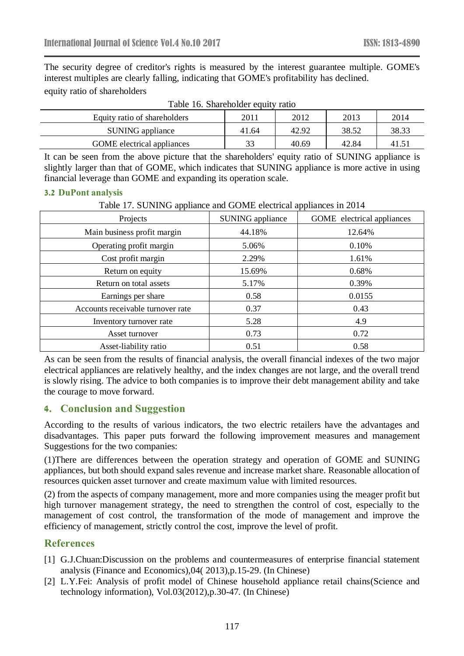The security degree of creditor's rights is measured by the interest guarantee multiple. GOME's interest multiples are clearly falling, indicating that GOME's profitability has declined. equity ratio of shareholders

| Tuble To: Dilatenbluer equity ratio |       |       |       |       |
|-------------------------------------|-------|-------|-------|-------|
| Equity ratio of shareholders        | 2011  | 2012  | 2013  | 2014  |
| SUNING appliance                    | 41.64 | 42.92 | 38.52 | 38.33 |
| <b>GOME</b> electrical appliances   | 33    | 40.69 | 42.84 | 41.51 |

Table 16. Shareholder equity ratio

It can be seen from the above picture that the shareholders' equity ratio of SUNING appliance is slightly larger than that of GOME, which indicates that SUNING appliance is more active in using financial leverage than GOME and expanding its operation scale.

#### **3.2 DuPont analysis**

Table 17. SUNING appliance and GOME electrical appliances in 2014

| Projects                          | <b>SUNING</b> appliance | GOME electrical appliances |
|-----------------------------------|-------------------------|----------------------------|
| Main business profit margin       | 44.18%                  | 12.64%                     |
| Operating profit margin           | 5.06%                   | 0.10%                      |
| Cost profit margin                | 2.29%                   | 1.61%                      |
| Return on equity                  | 15.69%                  | 0.68%                      |
| Return on total assets            | 5.17%                   | 0.39%                      |
| Earnings per share                | 0.58                    | 0.0155                     |
| Accounts receivable turnover rate | 0.37                    | 0.43                       |
| Inventory turnover rate           | 5.28                    | 4.9                        |
| Asset turnover                    | 0.73                    | 0.72                       |
| Asset-liability ratio             | 0.51                    | 0.58                       |

As can be seen from the results of financial analysis, the overall financial indexes of the two major electrical appliances are relatively healthy, and the index changes are not large, and the overall trend is slowly rising. The advice to both companies is to improve their debt management ability and take the courage to move forward.

#### **4. Conclusion and Suggestion**

According to the results of various indicators, the two electric retailers have the advantages and disadvantages. This paper puts forward the following improvement measures and management Suggestions for the two companies:

(1)There are differences between the operation strategy and operation of GOME and SUNING appliances, but both should expand sales revenue and increase market share. Reasonable allocation of resources quicken asset turnover and create maximum value with limited resources.

(2) from the aspects of company management, more and more companies using the meager profit but high turnover management strategy, the need to strengthen the control of cost, especially to the management of cost control, the transformation of the mode of management and improve the efficiency of management, strictly control the cost, improve the level of profit.

# **References**

- [1] G.J.Chuan:Discussion on the problems and countermeasures of enterprise financial statement analysis (Finance and Economics),04( 2013),p.15-29. (In Chinese)
- [2] L.Y.Fei: Analysis of profit model of Chinese household appliance retail chains(Science and technology information), Vol.03(2012),p.30-47. (In Chinese)